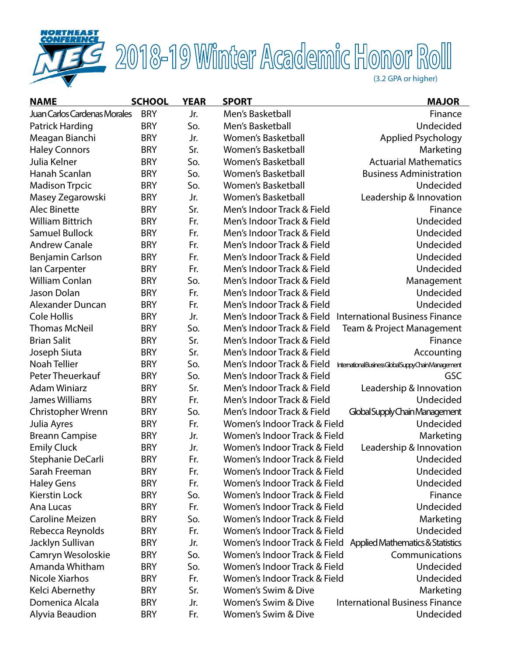

# **THE 2018-19 Winter Academic Honor Roll**

| <b>NAME</b>                         | <b>SCHOOL</b> | <b>YEAR</b> | <b>SPORT</b>                 | <b>MAJOR</b>                                    |
|-------------------------------------|---------------|-------------|------------------------------|-------------------------------------------------|
| <b>Juan Carlos Cardenas Morales</b> | <b>BRY</b>    | Jr.         | Men's Basketball             | Finance                                         |
| Patrick Harding                     | <b>BRY</b>    | So.         | Men's Basketball             | Undecided                                       |
| Meagan Bianchi                      | <b>BRY</b>    | Jr.         | Women's Basketball           | Applied Psychology                              |
| <b>Haley Connors</b>                | <b>BRY</b>    | Sr.         | <b>Women's Basketball</b>    | Marketing                                       |
| Julia Kelner                        | <b>BRY</b>    | So.         | Women's Basketball           | <b>Actuarial Mathematics</b>                    |
| Hanah Scanlan                       | <b>BRY</b>    | So.         | <b>Women's Basketball</b>    | <b>Business Administration</b>                  |
| <b>Madison Trpcic</b>               | <b>BRY</b>    | So.         | <b>Women's Basketball</b>    | Undecided                                       |
| Masey Zegarowski                    | <b>BRY</b>    | Jr.         | <b>Women's Basketball</b>    | Leadership & Innovation                         |
| <b>Alec Binette</b>                 | <b>BRY</b>    | Sr.         | Men's Indoor Track & Field   | Finance                                         |
| <b>William Bittrich</b>             | <b>BRY</b>    | Fr.         | Men's Indoor Track & Field   | Undecided                                       |
| <b>Samuel Bullock</b>               | <b>BRY</b>    | Fr.         | Men's Indoor Track & Field   | Undecided                                       |
| <b>Andrew Canale</b>                | <b>BRY</b>    | Fr.         | Men's Indoor Track & Field   | Undecided                                       |
| Benjamin Carlson                    | <b>BRY</b>    | Fr.         | Men's Indoor Track & Field   | Undecided                                       |
| lan Carpenter                       | <b>BRY</b>    | Fr.         | Men's Indoor Track & Field   | Undecided                                       |
| <b>William Conlan</b>               | <b>BRY</b>    | So.         | Men's Indoor Track & Field   | Management                                      |
| Jason Dolan                         | <b>BRY</b>    | Fr.         | Men's Indoor Track & Field   | Undecided                                       |
| Alexander Duncan                    | <b>BRY</b>    | Fr.         | Men's Indoor Track & Field   | Undecided                                       |
| <b>Cole Hollis</b>                  | <b>BRY</b>    | Jr.         | Men's Indoor Track & Field   | <b>International Business Finance</b>           |
| <b>Thomas McNeil</b>                | <b>BRY</b>    | So.         | Men's Indoor Track & Field   | Team & Project Management                       |
| <b>Brian Salit</b>                  | <b>BRY</b>    | Sr.         | Men's Indoor Track & Field   | Finance                                         |
| Joseph Siuta                        | <b>BRY</b>    | Sr.         | Men's Indoor Track & Field   | Accounting                                      |
| Noah Tellier                        | <b>BRY</b>    | So.         | Men's Indoor Track & Field   | InternationalBusinessGlobalSuppyChainManagement |
| Peter Theuerkauf                    | <b>BRY</b>    | So.         | Men's Indoor Track & Field   | <b>GSC</b>                                      |
| <b>Adam Winiarz</b>                 | <b>BRY</b>    | Sr.         | Men's Indoor Track & Field   | Leadership & Innovation                         |
| James Williams                      | <b>BRY</b>    | Fr.         | Men's Indoor Track & Field   | Undecided                                       |
| Christopher Wrenn                   | <b>BRY</b>    | So.         | Men's Indoor Track & Field   | Global Supply Chain Management                  |
| Julia Ayres                         | <b>BRY</b>    | Fr.         | Women's Indoor Track & Field | Undecided                                       |
| <b>Breann Campise</b>               | <b>BRY</b>    | Jr.         | Women's Indoor Track & Field | Marketing                                       |
| <b>Emily Cluck</b>                  | <b>BRY</b>    | Jr.         | Women's Indoor Track & Field | Leadership & Innovation                         |
| Stephanie DeCarli                   | <b>BRY</b>    | Fr.         | Women's Indoor Track & Field | Undecided                                       |
| Sarah Freeman                       | BRY           | Fr.         | Women's Indoor Track & Field | Undecided                                       |
| <b>Haley Gens</b>                   | <b>BRY</b>    | Fr.         | Women's Indoor Track & Field | Undecided                                       |
| Kierstin Lock                       | <b>BRY</b>    | So.         | Women's Indoor Track & Field | Finance                                         |
| Ana Lucas                           | <b>BRY</b>    | Fr.         | Women's Indoor Track & Field | Undecided                                       |
| <b>Caroline Meizen</b>              | <b>BRY</b>    | So.         | Women's Indoor Track & Field | Marketing                                       |
| Rebecca Reynolds                    | <b>BRY</b>    | Fr.         | Women's Indoor Track & Field | Undecided                                       |
| Jacklyn Sullivan                    | <b>BRY</b>    | Jr.         | Women's Indoor Track & Field | Applied Mathematics & Statistics                |
| Camryn Wesoloskie                   | <b>BRY</b>    | So.         | Women's Indoor Track & Field | Communications                                  |
| Amanda Whitham                      | <b>BRY</b>    | So.         | Women's Indoor Track & Field | Undecided                                       |
| Nicole Xiarhos                      | <b>BRY</b>    | Fr.         | Women's Indoor Track & Field | Undecided                                       |
| Kelci Abernethy                     | <b>BRY</b>    | Sr.         | Women's Swim & Dive          | Marketing                                       |
| Domenica Alcala                     | <b>BRY</b>    | Jr.         | Women's Swim & Dive          | <b>International Business Finance</b>           |
| Alyvia Beaudion                     | <b>BRY</b>    | Fr.         | Women's Swim & Dive          | Undecided                                       |
|                                     |               |             |                              |                                                 |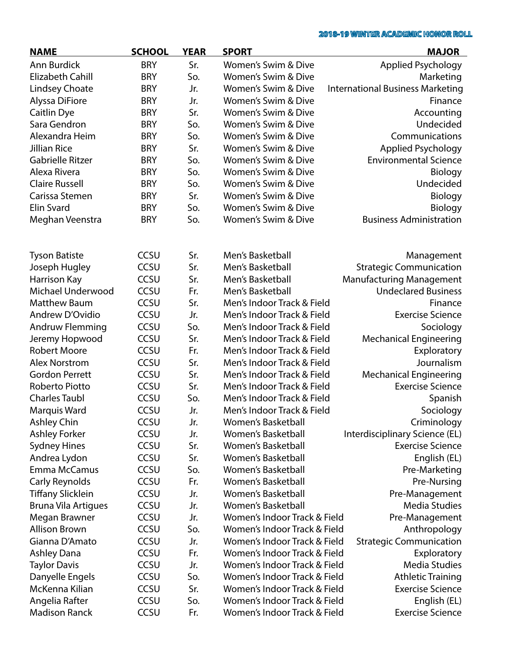| <b>NAME</b>                | <b>SCHOOL</b> | <b>YEAR</b> | <b>SPORT</b>                   | <b>MAJOR</b>                            |
|----------------------------|---------------|-------------|--------------------------------|-----------------------------------------|
| Ann Burdick                | <b>BRY</b>    | Sr.         | <b>Women's Swim &amp; Dive</b> | <b>Applied Psychology</b>               |
| <b>Elizabeth Cahill</b>    | <b>BRY</b>    | So.         | <b>Women's Swim &amp; Dive</b> | Marketing                               |
| <b>Lindsey Choate</b>      | <b>BRY</b>    | Jr.         | Women's Swim & Dive            | <b>International Business Marketing</b> |
| Alyssa DiFiore             | <b>BRY</b>    | Jr.         | Women's Swim & Dive            | Finance                                 |
| Caitlin Dye                | <b>BRY</b>    | Sr.         | <b>Women's Swim &amp; Dive</b> | Accounting                              |
| Sara Gendron               | <b>BRY</b>    | So.         | <b>Women's Swim &amp; Dive</b> | Undecided                               |
| Alexandra Heim             | <b>BRY</b>    | So.         | Women's Swim & Dive            | Communications                          |
| <b>Jillian Rice</b>        | <b>BRY</b>    | Sr.         | <b>Women's Swim &amp; Dive</b> | Applied Psychology                      |
| <b>Gabrielle Ritzer</b>    | <b>BRY</b>    | So.         | Women's Swim & Dive            | <b>Environmental Science</b>            |
| Alexa Rivera               | <b>BRY</b>    | So.         | Women's Swim & Dive            | <b>Biology</b>                          |
| <b>Claire Russell</b>      | <b>BRY</b>    | So.         | Women's Swim & Dive            | Undecided                               |
| Carissa Stemen             | <b>BRY</b>    | Sr.         | Women's Swim & Dive            | Biology                                 |
| <b>Elin Svard</b>          | <b>BRY</b>    | So.         | Women's Swim & Dive            | Biology                                 |
| Meghan Veenstra            | <b>BRY</b>    | So.         | Women's Swim & Dive            | <b>Business Administration</b>          |
|                            |               |             |                                |                                         |
| <b>Tyson Batiste</b>       | CCSU          | Sr.         | Men's Basketball               | Management                              |
| Joseph Hugley              | CCSU          | Sr.         | Men's Basketball               | <b>Strategic Communication</b>          |
| Harrison Kay               | CCSU          | Sr.         | Men's Basketball               | <b>Manufacturing Management</b>         |
| Michael Underwood          | CCSU          | Fr.         | Men's Basketball               | <b>Undeclared Business</b>              |
| <b>Matthew Baum</b>        | CCSU          | Sr.         | Men's Indoor Track & Field     | Finance                                 |
| Andrew D'Ovidio            | CCSU          | Jr.         | Men's Indoor Track & Field     | <b>Exercise Science</b>                 |
| Andruw Flemming            | CCSU          | So.         | Men's Indoor Track & Field     | Sociology                               |
| Jeremy Hopwood             | CCSU          | Sr.         | Men's Indoor Track & Field     | <b>Mechanical Engineering</b>           |
| <b>Robert Moore</b>        | CCSU          | Fr.         | Men's Indoor Track & Field     | Exploratory                             |
| <b>Alex Norstrom</b>       | CCSU          | Sr.         | Men's Indoor Track & Field     | Journalism                              |
| <b>Gordon Perrett</b>      | CCSU          | Sr.         | Men's Indoor Track & Field     | <b>Mechanical Engineering</b>           |
| Roberto Piotto             | CCSU          | Sr.         | Men's Indoor Track & Field     | <b>Exercise Science</b>                 |
| <b>Charles Taubl</b>       | CCSU          | So.         | Men's Indoor Track & Field     | Spanish                                 |
| Marquis Ward               | CCSU          | Jr.         | Men's Indoor Track & Field     | Sociology                               |
| Ashley Chin                | CCSU          | Jr.         | Women's Basketball             | Criminology                             |
| <b>Ashley Forker</b>       | <b>CCSU</b>   | Jr.         | <b>Women's Basketball</b>      | Interdisciplinary Science (EL)          |
| <b>Sydney Hines</b>        | CCSU          | Sr.         | <b>Women's Basketball</b>      | <b>Exercise Science</b>                 |
| Andrea Lydon               | CCSU          | Sr.         | <b>Women's Basketball</b>      | English (EL)                            |
| Emma McCamus               | <b>CCSU</b>   | So.         | <b>Women's Basketball</b>      | Pre-Marketing                           |
| Carly Reynolds             | CCSU          | Fr.         | Women's Basketball             | Pre-Nursing                             |
| <b>Tiffany Slicklein</b>   | CCSU          | Jr.         | <b>Women's Basketball</b>      | Pre-Management                          |
| <b>Bruna Vila Artigues</b> | CCSU          | Jr.         | <b>Women's Basketball</b>      | <b>Media Studies</b>                    |
| Megan Brawner              | CCSU          | Jr.         | Women's Indoor Track & Field   | Pre-Management                          |
| <b>Allison Brown</b>       | <b>CCSU</b>   | So.         | Women's Indoor Track & Field   | Anthropology                            |
| Gianna D'Amato             | CCSU          | Jr.         | Women's Indoor Track & Field   | <b>Strategic Communication</b>          |
| <b>Ashley Dana</b>         | CCSU          | Fr.         | Women's Indoor Track & Field   | Exploratory                             |
| <b>Taylor Davis</b>        | CCSU          | Jr.         | Women's Indoor Track & Field   | <b>Media Studies</b>                    |
| Danyelle Engels            | CCSU          | So.         | Women's Indoor Track & Field   | <b>Athletic Training</b>                |
| McKenna Kilian             | CCSU          | Sr.         | Women's Indoor Track & Field   | <b>Exercise Science</b>                 |
| Angelia Rafter             | CCSU          | So.         | Women's Indoor Track & Field   | English (EL)                            |
| <b>Madison Ranck</b>       | CCSU          | Fr.         | Women's Indoor Track & Field   | <b>Exercise Science</b>                 |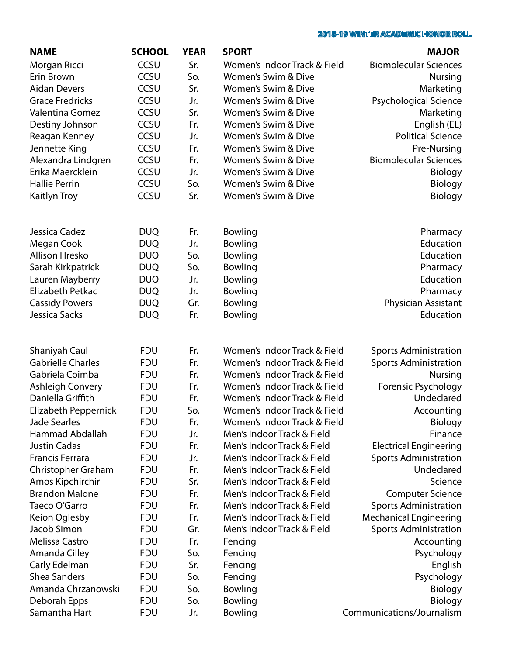| <b>NAME</b>              | <b>SCHOOL</b> | <b>YEAR</b> | <b>SPORT</b>                 | <b>MAJOR</b>                  |
|--------------------------|---------------|-------------|------------------------------|-------------------------------|
| Morgan Ricci             | CCSU          | Sr.         | Women's Indoor Track & Field | <b>Biomolecular Sciences</b>  |
| Erin Brown               | CCSU          | So.         | Women's Swim & Dive          | <b>Nursing</b>                |
| <b>Aidan Devers</b>      | CCSU          | Sr.         | Women's Swim & Dive          | Marketing                     |
| <b>Grace Fredricks</b>   | CCSU          | Jr.         | Women's Swim & Dive          | <b>Psychological Science</b>  |
| Valentina Gomez          | CCSU          | Sr.         | Women's Swim & Dive          | Marketing                     |
| Destiny Johnson          | CCSU          | Fr.         | Women's Swim & Dive          | English (EL)                  |
| Reagan Kenney            | CCSU          | Jr.         | Women's Swim & Dive          | <b>Political Science</b>      |
| Jennette King            | CCSU          | Fr.         | Women's Swim & Dive          | Pre-Nursing                   |
| Alexandra Lindgren       | CCSU          | Fr.         | Women's Swim & Dive          | <b>Biomolecular Sciences</b>  |
| Erika Maercklein         | <b>CCSU</b>   | Jr.         | Women's Swim & Dive          | Biology                       |
| <b>Hallie Perrin</b>     | CCSU          | So.         | Women's Swim & Dive          | Biology                       |
| Kaitlyn Troy             | CCSU          | Sr.         | Women's Swim & Dive          | Biology                       |
| Jessica Cadez            | <b>DUQ</b>    | Fr.         | Bowling                      | Pharmacy                      |
| Megan Cook               | <b>DUQ</b>    | Jr.         | Bowling                      | Education                     |
| Allison Hresko           | <b>DUQ</b>    | So.         | Bowling                      | Education                     |
| Sarah Kirkpatrick        | <b>DUQ</b>    | So.         | Bowling                      | Pharmacy                      |
| Lauren Mayberry          | <b>DUQ</b>    | Jr.         | Bowling                      | Education                     |
| Elizabeth Petkac         | <b>DUQ</b>    | Jr.         | Bowling                      | Pharmacy                      |
| <b>Cassidy Powers</b>    | <b>DUQ</b>    | Gr.         | Bowling                      | Physician Assistant           |
| Jessica Sacks            | <b>DUQ</b>    | Fr.         | Bowling                      | Education                     |
|                          |               |             |                              |                               |
| Shaniyah Caul            | <b>FDU</b>    | Fr.         | Women's Indoor Track & Field | <b>Sports Administration</b>  |
| <b>Gabrielle Charles</b> | <b>FDU</b>    | Fr.         | Women's Indoor Track & Field | <b>Sports Administration</b>  |
| Gabriela Coimba          | <b>FDU</b>    | Fr.         | Women's Indoor Track & Field | <b>Nursing</b>                |
| <b>Ashleigh Convery</b>  | <b>FDU</b>    | Fr.         | Women's Indoor Track & Field | Forensic Psychology           |
| Daniella Griffith        | <b>FDU</b>    | Fr.         | Women's Indoor Track & Field | Undeclared                    |
| Elizabeth Peppernick     | <b>FDU</b>    | So.         | Women's Indoor Track & Field | Accounting                    |
| <b>Jade Searles</b>      | <b>FDU</b>    | Fr.         | Women's Indoor Track & Field | Biology                       |
| Hammad Abdallah          | <b>FDU</b>    | Jr.         | Men's Indoor Track & Field   | Finance                       |
| <b>Justin Cadas</b>      | <b>FDU</b>    | Fr.         | Men's Indoor Track & Field   | <b>Electrical Engineering</b> |
| <b>Francis Ferrara</b>   | <b>FDU</b>    | Jr.         | Men's Indoor Track & Field   | <b>Sports Administration</b>  |
| Christopher Graham       | <b>FDU</b>    | Fr.         | Men's Indoor Track & Field   | Undeclared                    |
| Amos Kipchirchir         | <b>FDU</b>    | Sr.         | Men's Indoor Track & Field   | Science                       |
| <b>Brandon Malone</b>    | <b>FDU</b>    | Fr.         | Men's Indoor Track & Field   | <b>Computer Science</b>       |
| Taeco O'Garro            | <b>FDU</b>    | Fr.         | Men's Indoor Track & Field   | <b>Sports Administration</b>  |
| Keion Oglesby            | <b>FDU</b>    | Fr.         | Men's Indoor Track & Field   | <b>Mechanical Engineering</b> |
| Jacob Simon              | <b>FDU</b>    | Gr.         | Men's Indoor Track & Field   | <b>Sports Administration</b>  |
| Melissa Castro           | <b>FDU</b>    | Fr.         | Fencing                      | Accounting                    |
| Amanda Cilley            | <b>FDU</b>    | So.         | Fencing                      | Psychology                    |
| Carly Edelman            | <b>FDU</b>    | Sr.         | Fencing                      | English                       |
| <b>Shea Sanders</b>      | <b>FDU</b>    | So.         | Fencing                      | Psychology                    |
| Amanda Chrzanowski       | <b>FDU</b>    | So.         | Bowling                      | Biology                       |
| Deborah Epps             | <b>FDU</b>    | So.         | Bowling                      | Biology                       |
| Samantha Hart            | <b>FDU</b>    | Jr.         | Bowling                      | Communications/Journalism     |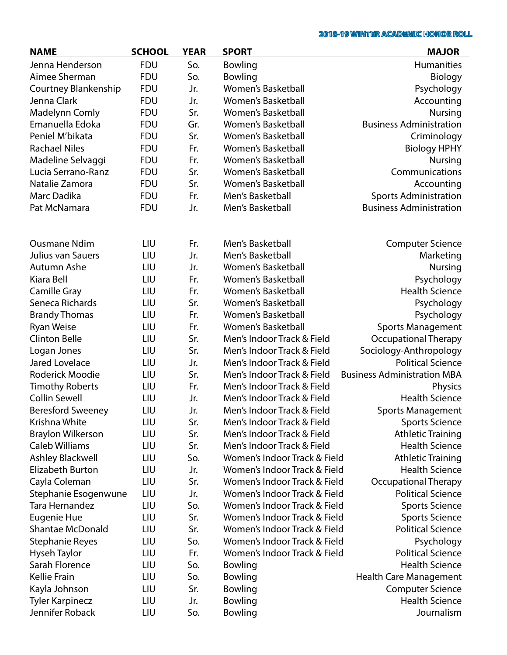| <b>NAME</b>              | <b>SCHOOL</b> | <b>YEAR</b> | <b>SPORT</b>                 | <b>MAJOR</b>                       |
|--------------------------|---------------|-------------|------------------------------|------------------------------------|
| Jenna Henderson          | <b>FDU</b>    | So.         | Bowling                      | Humanities                         |
| Aimee Sherman            | <b>FDU</b>    | So.         | Bowling                      | Biology                            |
| Courtney Blankenship     | <b>FDU</b>    | Jr.         | <b>Women's Basketball</b>    | Psychology                         |
| Jenna Clark              | <b>FDU</b>    | Jr.         | <b>Women's Basketball</b>    | Accounting                         |
| <b>Madelynn Comly</b>    | <b>FDU</b>    | Sr.         | <b>Women's Basketball</b>    | <b>Nursing</b>                     |
| Emanuella Edoka          | <b>FDU</b>    | Gr.         | <b>Women's Basketball</b>    | <b>Business Administration</b>     |
| Peniel M'bikata          | <b>FDU</b>    | Sr.         | Women's Basketball           | Criminology                        |
| <b>Rachael Niles</b>     | <b>FDU</b>    | Fr.         | <b>Women's Basketball</b>    | <b>Biology HPHY</b>                |
| Madeline Selvaggi        | <b>FDU</b>    | Fr.         | <b>Women's Basketball</b>    | <b>Nursing</b>                     |
| Lucia Serrano-Ranz       | <b>FDU</b>    | Sr.         | <b>Women's Basketball</b>    | Communications                     |
| Natalie Zamora           | <b>FDU</b>    | Sr.         | <b>Women's Basketball</b>    | Accounting                         |
| Marc Dadika              | <b>FDU</b>    | Fr.         | Men's Basketball             | <b>Sports Administration</b>       |
| Pat McNamara             | <b>FDU</b>    | Jr.         | Men's Basketball             | <b>Business Administration</b>     |
|                          |               |             |                              |                                    |
| <b>Ousmane Ndim</b>      | LIU           | Fr.         | Men's Basketball             | <b>Computer Science</b>            |
| Julius van Sauers        | LIU           | Jr.         | Men's Basketball             | Marketing                          |
| Autumn Ashe              | LIU           | Jr.         | <b>Women's Basketball</b>    | <b>Nursing</b>                     |
| Kiara Bell               | LIU           | Fr.         | <b>Women's Basketball</b>    | Psychology                         |
| Camille Gray             | LIU           | Fr.         | <b>Women's Basketball</b>    | <b>Health Science</b>              |
| Seneca Richards          | LIU           | Sr.         | Women's Basketball           | Psychology                         |
| <b>Brandy Thomas</b>     | LIU           | Fr.         | Women's Basketball           | Psychology                         |
| <b>Ryan Weise</b>        | LIU           | Fr.         | <b>Women's Basketball</b>    | <b>Sports Management</b>           |
| <b>Clinton Belle</b>     | LIU           | Sr.         | Men's Indoor Track & Field   | <b>Occupational Therapy</b>        |
| Logan Jones              | LIU           | Sr.         | Men's Indoor Track & Field   | Sociology-Anthropology             |
| <b>Jared Lovelace</b>    | LIU           | Jr.         | Men's Indoor Track & Field   | <b>Political Science</b>           |
| Roderick Moodie          | LIU           | Sr.         | Men's Indoor Track & Field   | <b>Business Administration MBA</b> |
| <b>Timothy Roberts</b>   | LIU           | Fr.         | Men's Indoor Track & Field   | Physics                            |
| <b>Collin Sewell</b>     | LIU           | Jr.         | Men's Indoor Track & Field   | <b>Health Science</b>              |
| <b>Beresford Sweeney</b> | LIU           | Jr.         | Men's Indoor Track & Field   | <b>Sports Management</b>           |
| Krishna White            | LIU           | Sr.         | Men's Indoor Track & Field   | <b>Sports Science</b>              |
| <b>Braylon Wilkerson</b> | LIU           | Sr.         | Men's Indoor Track & Field   | <b>Athletic Training</b>           |
| <b>Caleb Williams</b>    | LIU           | Sr.         | Men's Indoor Track & Field   | <b>Health Science</b>              |
| <b>Ashley Blackwell</b>  | LIU           | So.         | Women's Indoor Track & Field | <b>Athletic Training</b>           |
| <b>Elizabeth Burton</b>  | LIU           | Jr.         | Women's Indoor Track & Field | <b>Health Science</b>              |
| Cayla Coleman            | LIU           | Sr.         | Women's Indoor Track & Field | <b>Occupational Therapy</b>        |
| Stephanie Esogenwune     | LIU           | Jr.         | Women's Indoor Track & Field | <b>Political Science</b>           |
| Tara Hernandez           | LIU           | So.         | Women's Indoor Track & Field | <b>Sports Science</b>              |
| Eugenie Hue              | LIU           | Sr.         | Women's Indoor Track & Field | <b>Sports Science</b>              |
| <b>Shantae McDonald</b>  | LIU           | Sr.         | Women's Indoor Track & Field | <b>Political Science</b>           |
| <b>Stephanie Reyes</b>   | LIU           | So.         | Women's Indoor Track & Field | Psychology                         |
| Hyseh Taylor             | LIU           | Fr.         | Women's Indoor Track & Field | <b>Political Science</b>           |
| Sarah Florence           | LIU           | So.         | Bowling                      | <b>Health Science</b>              |
| Kellie Frain             | LIU           | So.         | Bowling                      | <b>Health Care Management</b>      |
| Kayla Johnson            | LIU           | Sr.         | Bowling                      | <b>Computer Science</b>            |
| <b>Tyler Karpinecz</b>   | LIU           | Jr.         | Bowling                      | <b>Health Science</b>              |
| Jennifer Roback          | LIU           | So.         | Bowling                      | Journalism                         |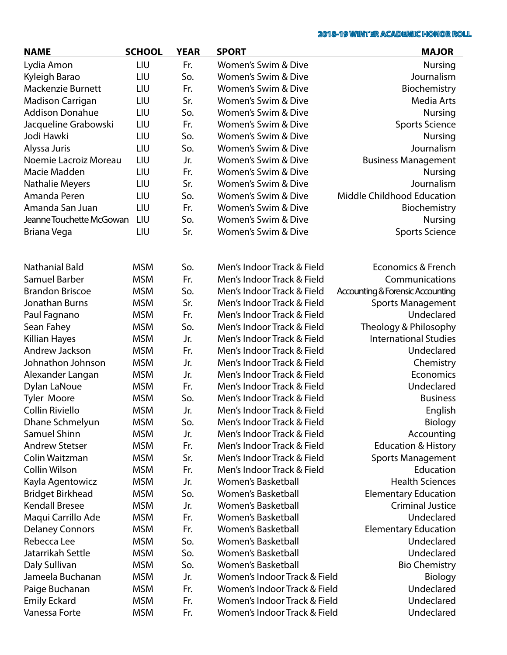| <b>NAME</b>              | <b>SCHOOL</b> | <b>YEAR</b> | <b>SPORT</b>                 | <b>MAJOR</b>                     |
|--------------------------|---------------|-------------|------------------------------|----------------------------------|
| Lydia Amon               | LIU           | Fr.         | Women's Swim & Dive          | <b>Nursing</b>                   |
| Kyleigh Barao            | LIU           | So.         | Women's Swim & Dive          | Journalism                       |
| <b>Mackenzie Burnett</b> | LIU           | Fr.         | Women's Swim & Dive          | Biochemistry                     |
| <b>Madison Carrigan</b>  | LIU           | Sr.         | Women's Swim & Dive          | Media Arts                       |
| <b>Addison Donahue</b>   | LIU           | So.         | Women's Swim & Dive          | <b>Nursing</b>                   |
| Jacqueline Grabowski     | LIU           | Fr.         | Women's Swim & Dive          | <b>Sports Science</b>            |
| Jodi Hawki               | LIU           | So.         | Women's Swim & Dive          | <b>Nursing</b>                   |
| Alyssa Juris             | LIU           | So.         | Women's Swim & Dive          | Journalism                       |
| Noemie Lacroiz Moreau    | LIU           | Jr.         | Women's Swim & Dive          | <b>Business Management</b>       |
| Macie Madden             | LIU           | Fr.         | Women's Swim & Dive          | <b>Nursing</b>                   |
| <b>Nathalie Meyers</b>   | LIU           | Sr.         | Women's Swim & Dive          | Journalism                       |
| Amanda Peren             | LIU           | So.         | Women's Swim & Dive          | Middle Childhood Education       |
| Amanda San Juan          | LIU           | Fr.         | Women's Swim & Dive          | Biochemistry                     |
| Jeanne Touchette McGowan | LIU           | So.         | Women's Swim & Dive          | <b>Nursing</b>                   |
| Briana Vega              | LIU           | Sr.         | Women's Swim & Dive          | <b>Sports Science</b>            |
|                          |               |             |                              |                                  |
| <b>Nathanial Bald</b>    | <b>MSM</b>    | So.         | Men's Indoor Track & Field   | <b>Economics &amp; French</b>    |
| <b>Samuel Barber</b>     | <b>MSM</b>    | Fr.         | Men's Indoor Track & Field   | Communications                   |
| <b>Brandon Briscoe</b>   | <b>MSM</b>    | So.         | Men's Indoor Track & Field   | Accounting & Forensic Accounting |
| Jonathan Burns           | <b>MSM</b>    | Sr.         | Men's Indoor Track & Field   | <b>Sports Management</b>         |
| Paul Fagnano             | <b>MSM</b>    | Fr.         | Men's Indoor Track & Field   | Undeclared                       |
| Sean Fahey               | <b>MSM</b>    | So.         | Men's Indoor Track & Field   | Theology & Philosophy            |
| Killian Hayes            | <b>MSM</b>    | Jr.         | Men's Indoor Track & Field   | <b>International Studies</b>     |
| Andrew Jackson           | <b>MSM</b>    | Fr.         | Men's Indoor Track & Field   | Undeclared                       |
| Johnathon Johnson        | <b>MSM</b>    | Jr.         | Men's Indoor Track & Field   | Chemistry                        |
| Alexander Langan         | <b>MSM</b>    | Jr.         | Men's Indoor Track & Field   | Economics                        |
| Dylan LaNoue             | <b>MSM</b>    | Fr.         | Men's Indoor Track & Field   | Undeclared                       |
| <b>Tyler Moore</b>       | <b>MSM</b>    | So.         | Men's Indoor Track & Field   | <b>Business</b>                  |
| Collin Riviello          | <b>MSM</b>    | Jr.         | Men's Indoor Track & Field   | English                          |
| Dhane Schmelyun          | <b>MSM</b>    | So.         | Men's Indoor Track & Field   | <b>Biology</b>                   |
| Samuel Shinn             | <b>MSM</b>    | Jr.         | Men's Indoor Track & Field   | Accounting                       |
| <b>Andrew Stetser</b>    | <b>MSM</b>    | Fr.         | Men's Indoor Track & Field   | <b>Education &amp; History</b>   |
| Colin Waitzman           | <b>MSM</b>    | Sr.         | Men's Indoor Track & Field   | <b>Sports Management</b>         |
| Collin Wilson            | <b>MSM</b>    | Fr.         | Men's Indoor Track & Field   | Education                        |
| Kayla Agentowicz         | <b>MSM</b>    | Jr.         | <b>Women's Basketball</b>    | <b>Health Sciences</b>           |
| <b>Bridget Birkhead</b>  | <b>MSM</b>    | So.         | <b>Women's Basketball</b>    | <b>Elementary Education</b>      |
| <b>Kendall Bresee</b>    | <b>MSM</b>    | Jr.         | <b>Women's Basketball</b>    | <b>Criminal Justice</b>          |
| Maqui Carrillo Ade       | <b>MSM</b>    | Fr.         | <b>Women's Basketball</b>    | Undeclared                       |
| <b>Delaney Connors</b>   | <b>MSM</b>    | Fr.         | <b>Women's Basketball</b>    | <b>Elementary Education</b>      |
| Rebecca Lee              | <b>MSM</b>    | So.         | Women's Basketball           | Undeclared                       |
| Jatarrikah Settle        | <b>MSM</b>    | So.         | <b>Women's Basketball</b>    | Undeclared                       |
| Daly Sullivan            | <b>MSM</b>    | So.         | <b>Women's Basketball</b>    | <b>Bio Chemistry</b>             |
| Jameela Buchanan         | <b>MSM</b>    | Jr.         | Women's Indoor Track & Field | <b>Biology</b>                   |
| Paige Buchanan           | <b>MSM</b>    | Fr.         | Women's Indoor Track & Field | Undeclared                       |
| <b>Emily Eckard</b>      | <b>MSM</b>    | Fr.         | Women's Indoor Track & Field | Undeclared                       |
| Vanessa Forte            | <b>MSM</b>    | Fr.         | Women's Indoor Track & Field | Undeclared                       |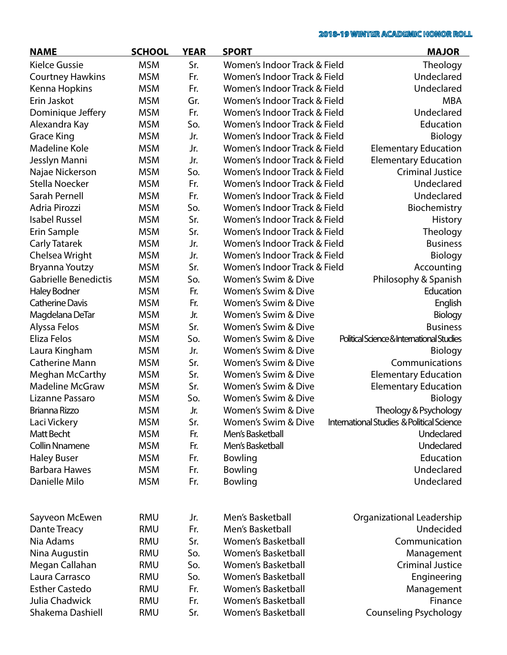| <b>NAME</b>                 | <b>SCHOOL</b> | <b>YEAR</b> | <b>SPORT</b>                   | <b>MAJOR</b>                                         |
|-----------------------------|---------------|-------------|--------------------------------|------------------------------------------------------|
| <b>Kielce Gussie</b>        | <b>MSM</b>    | Sr.         | Women's Indoor Track & Field   | Theology                                             |
| <b>Courtney Hawkins</b>     | <b>MSM</b>    | Fr.         | Women's Indoor Track & Field   | Undeclared                                           |
| Kenna Hopkins               | <b>MSM</b>    | Fr.         | Women's Indoor Track & Field   | Undeclared                                           |
| Erin Jaskot                 | <b>MSM</b>    | Gr.         | Women's Indoor Track & Field   | <b>MBA</b>                                           |
| Dominique Jeffery           | <b>MSM</b>    | Fr.         | Women's Indoor Track & Field   | Undeclared                                           |
| Alexandra Kay               | <b>MSM</b>    | So.         | Women's Indoor Track & Field   | Education                                            |
| <b>Grace King</b>           | <b>MSM</b>    | Jr.         | Women's Indoor Track & Field   | <b>Biology</b>                                       |
| Madeline Kole               | <b>MSM</b>    | Jr.         | Women's Indoor Track & Field   | <b>Elementary Education</b>                          |
| Jesslyn Manni               | <b>MSM</b>    | Jr.         | Women's Indoor Track & Field   | <b>Elementary Education</b>                          |
| Najae Nickerson             | <b>MSM</b>    | So.         | Women's Indoor Track & Field   | <b>Criminal Justice</b>                              |
| Stella Noecker              | <b>MSM</b>    | Fr.         | Women's Indoor Track & Field   | Undeclared                                           |
| Sarah Pernell               | <b>MSM</b>    | Fr.         | Women's Indoor Track & Field   | Undeclared                                           |
| Adria Pirozzi               | <b>MSM</b>    | So.         | Women's Indoor Track & Field   | Biochemistry                                         |
| <b>Isabel Russel</b>        | <b>MSM</b>    | Sr.         | Women's Indoor Track & Field   | <b>History</b>                                       |
| Erin Sample                 | <b>MSM</b>    | Sr.         | Women's Indoor Track & Field   | Theology                                             |
| <b>Carly Tatarek</b>        | <b>MSM</b>    | Jr.         | Women's Indoor Track & Field   | <b>Business</b>                                      |
| Chelsea Wright              | <b>MSM</b>    | Jr.         | Women's Indoor Track & Field   | Biology                                              |
| Bryanna Youtzy              | <b>MSM</b>    | Sr.         | Women's Indoor Track & Field   | Accounting                                           |
| <b>Gabrielle Benedictis</b> | <b>MSM</b>    | So.         | Women's Swim & Dive            | Philosophy & Spanish                                 |
| <b>Haley Bodner</b>         | <b>MSM</b>    | Fr.         | Women's Swim & Dive            | Education                                            |
| <b>Catherine Davis</b>      | <b>MSM</b>    | Fr.         | Women's Swim & Dive            | English                                              |
| Magdelana DeTar             | <b>MSM</b>    | Jr.         | Women's Swim & Dive            | Biology                                              |
| Alyssa Felos                | <b>MSM</b>    | Sr.         | Women's Swim & Dive            | <b>Business</b>                                      |
| Eliza Felos                 | <b>MSM</b>    | So.         | Women's Swim & Dive            | Political Science & International Studies            |
| Laura Kingham               | <b>MSM</b>    | Jr.         | Women's Swim & Dive            | Biology                                              |
| <b>Catherine Mann</b>       | <b>MSM</b>    | Sr.         | Women's Swim & Dive            | Communications                                       |
| <b>Meghan McCarthy</b>      | <b>MSM</b>    | Sr.         | Women's Swim & Dive            | <b>Elementary Education</b>                          |
| <b>Madeline McGraw</b>      | <b>MSM</b>    | Sr.         | Women's Swim & Dive            | <b>Elementary Education</b>                          |
| Lizanne Passaro             | <b>MSM</b>    | So.         | Women's Swim & Dive            | Biology                                              |
| Brianna Rizzo               | <b>MSM</b>    | Jr.         | Women's Swim & Dive            | Theology & Psychology                                |
| Laci Vickery                | <b>MSM</b>    | Sr.         | <b>Women's Swim &amp; Dive</b> | <b>International Studies &amp; Political Science</b> |
| Matt Becht                  | <b>MSM</b>    | Fr.         | Men's Basketball               | Undeclared                                           |
| <b>Collin Nnamene</b>       | <b>MSM</b>    | Fr.         | Men's Basketball               | Undeclared                                           |
| <b>Haley Buser</b>          | <b>MSM</b>    | Fr.         | Bowling                        | Education                                            |
| <b>Barbara Hawes</b>        | <b>MSM</b>    | Fr.         | Bowling                        | Undeclared                                           |
| Danielle Milo               | <b>MSM</b>    | Fr.         | Bowling                        | Undeclared                                           |
|                             |               |             |                                |                                                      |
| Sayveon McEwen              | <b>RMU</b>    | Jr.         | Men's Basketball               | Organizational Leadership                            |
| Dante Treacy                | <b>RMU</b>    | Fr.         | Men's Basketball               | Undecided                                            |
| Nia Adams                   | <b>RMU</b>    | Sr.         | <b>Women's Basketball</b>      | Communication                                        |
| Nina Augustin               | <b>RMU</b>    | So.         | <b>Women's Basketball</b>      | Management                                           |
| Megan Callahan              | <b>RMU</b>    | So.         | <b>Women's Basketball</b>      | <b>Criminal Justice</b>                              |
| Laura Carrasco              | <b>RMU</b>    | So.         | Women's Basketball             | Engineering                                          |
| <b>Esther Castedo</b>       | <b>RMU</b>    | Fr.         | Women's Basketball             | Management                                           |
| Julia Chadwick              | <b>RMU</b>    | Fr.         | <b>Women's Basketball</b>      | Finance                                              |
| Shakema Dashiell            | <b>RMU</b>    | Sr.         | Women's Basketball             | <b>Counseling Psychology</b>                         |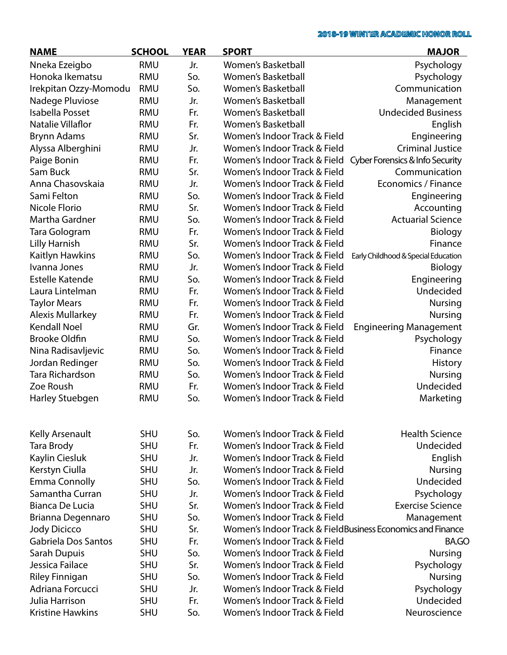| <b>NAME</b>              | <b>SCHOOL</b> | <b>YEAR</b> | <b>SPORT</b>                                               | <b>MAJOR</b>                        |
|--------------------------|---------------|-------------|------------------------------------------------------------|-------------------------------------|
| Nneka Ezeigbo            | <b>RMU</b>    | Jr.         | Women's Basketball                                         | Psychology                          |
| Honoka Ikematsu          | <b>RMU</b>    | So.         | <b>Women's Basketball</b>                                  | Psychology                          |
| Irekpitan Ozzy-Momodu    | <b>RMU</b>    | So.         | <b>Women's Basketball</b>                                  | Communication                       |
| Nadege Pluviose          | <b>RMU</b>    | Jr.         | <b>Women's Basketball</b>                                  | Management                          |
| Isabella Posset          | <b>RMU</b>    | Fr.         | <b>Women's Basketball</b>                                  | <b>Undecided Business</b>           |
| <b>Natalie Villaflor</b> | <b>RMU</b>    | Fr.         | Women's Basketball                                         | English                             |
| <b>Brynn Adams</b>       | <b>RMU</b>    | Sr.         | Women's Indoor Track & Field                               | Engineering                         |
| Alyssa Alberghini        | <b>RMU</b>    | Jr.         | Women's Indoor Track & Field                               | <b>Criminal Justice</b>             |
| Paige Bonin              | <b>RMU</b>    | Fr.         | Women's Indoor Track & Field                               | Cyber Forensics & Info Security     |
| Sam Buck                 | <b>RMU</b>    | Sr.         | Women's Indoor Track & Field                               | Communication                       |
| Anna Chasovskaia         | <b>RMU</b>    | Jr.         | Women's Indoor Track & Field                               | Economics / Finance                 |
| Sami Felton              | <b>RMU</b>    | So.         | Women's Indoor Track & Field                               | Engineering                         |
| Nicole Florio            | <b>RMU</b>    | Sr.         | Women's Indoor Track & Field                               | Accounting                          |
| Martha Gardner           | <b>RMU</b>    | So.         | Women's Indoor Track & Field                               | <b>Actuarial Science</b>            |
| Tara Gologram            | <b>RMU</b>    | Fr.         | Women's Indoor Track & Field                               | Biology                             |
| <b>Lilly Harnish</b>     | <b>RMU</b>    | Sr.         | Women's Indoor Track & Field                               | Finance                             |
| Kaitlyn Hawkins          | <b>RMU</b>    | So.         | Women's Indoor Track & Field                               | Early Childhood & Special Education |
| Ivanna Jones             | <b>RMU</b>    | Jr.         | Women's Indoor Track & Field                               | <b>Biology</b>                      |
| <b>Estelle Katende</b>   | <b>RMU</b>    | So.         | Women's Indoor Track & Field                               | Engineering                         |
| Laura Lintelman          | <b>RMU</b>    | Fr.         | Women's Indoor Track & Field                               | Undecided                           |
| <b>Taylor Mears</b>      | <b>RMU</b>    | Fr.         | Women's Indoor Track & Field                               | Nursing                             |
| <b>Alexis Mullarkey</b>  | <b>RMU</b>    | Fr.         | Women's Indoor Track & Field                               | <b>Nursing</b>                      |
| <b>Kendall Noel</b>      | <b>RMU</b>    | Gr.         | Women's Indoor Track & Field                               | <b>Engineering Management</b>       |
| <b>Brooke Oldfin</b>     | <b>RMU</b>    | So.         | Women's Indoor Track & Field                               | Psychology                          |
| Nina Radisavljevic       | <b>RMU</b>    | So.         | Women's Indoor Track & Field                               | Finance                             |
| Jordan Redinger          | <b>RMU</b>    | So.         | Women's Indoor Track & Field                               | <b>History</b>                      |
| Tara Richardson          | <b>RMU</b>    | So.         | Women's Indoor Track & Field                               | <b>Nursing</b>                      |
| Zoe Roush                | <b>RMU</b>    | Fr.         | Women's Indoor Track & Field                               | Undecided                           |
| Harley Stuebgen          | <b>RMU</b>    | So.         | Women's Indoor Track & Field                               | Marketing                           |
|                          |               |             |                                                            |                                     |
| Kelly Arsenault          | <b>SHU</b>    | So.         | Women's Indoor Track & Field                               | <b>Health Science</b>               |
| Tara Brody               | <b>SHU</b>    | Fr.         | Women's Indoor Track & Field                               | Undecided                           |
| Kaylin Ciesluk           | <b>SHU</b>    | Jr.         | Women's Indoor Track & Field                               | English                             |
| Kerstyn Ciulla           | <b>SHU</b>    | Jr.         | Women's Indoor Track & Field                               | Nursing                             |
| <b>Emma Connolly</b>     | <b>SHU</b>    | So.         | Women's Indoor Track & Field                               | Undecided                           |
| Samantha Curran          | <b>SHU</b>    | Jr.         | Women's Indoor Track & Field                               | Psychology                          |
| Bianca De Lucia          | <b>SHU</b>    | Sr.         | Women's Indoor Track & Field                               | <b>Exercise Science</b>             |
| Brianna Degennaro        | <b>SHU</b>    | So.         | Women's Indoor Track & Field                               | Management                          |
| <b>Jody Dicicco</b>      | <b>SHU</b>    | Sr.         | Women's Indoor Track & FieldBusiness Economics and Finance |                                     |
| Gabriela Dos Santos      | <b>SHU</b>    | Fr.         | Women's Indoor Track & Field                               | <b>BA.GO</b>                        |
| Sarah Dupuis             | <b>SHU</b>    | So.         | Women's Indoor Track & Field                               | <b>Nursing</b>                      |
| Jessica Failace          | <b>SHU</b>    | Sr.         | Women's Indoor Track & Field                               | Psychology                          |
| <b>Riley Finnigan</b>    | <b>SHU</b>    | So.         | Women's Indoor Track & Field                               | <b>Nursing</b>                      |
| Adriana Forcucci         | <b>SHU</b>    | Jr.         | Women's Indoor Track & Field                               | Psychology                          |
| Julia Harrison           | <b>SHU</b>    | Fr.         | Women's Indoor Track & Field                               | Undecided                           |
| <b>Kristine Hawkins</b>  | <b>SHU</b>    | So.         | Women's Indoor Track & Field                               | Neuroscience                        |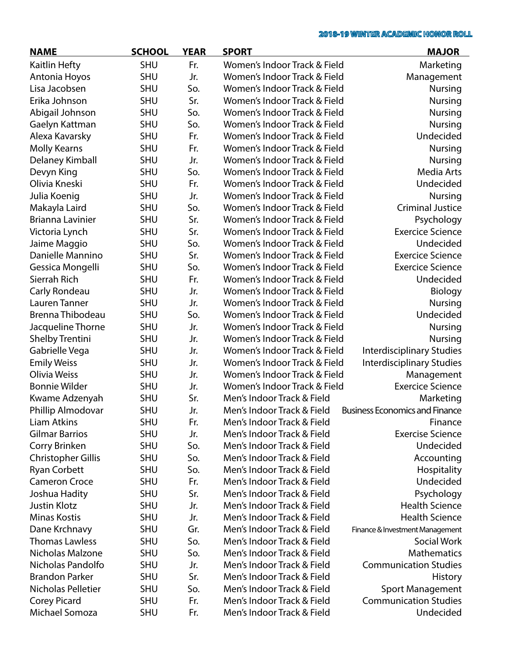| <b>NAME</b>               | <b>SCHOOL</b> | <b>YEAR</b> | <b>SPORT</b>                 | <b>MAJOR</b>                          |
|---------------------------|---------------|-------------|------------------------------|---------------------------------------|
| Kaitlin Hefty             | <b>SHU</b>    | Fr.         | Women's Indoor Track & Field | Marketing                             |
| Antonia Hoyos             | <b>SHU</b>    | Jr.         | Women's Indoor Track & Field | Management                            |
| Lisa Jacobsen             | <b>SHU</b>    | So.         | Women's Indoor Track & Field | <b>Nursing</b>                        |
| Erika Johnson             | <b>SHU</b>    | Sr.         | Women's Indoor Track & Field | <b>Nursing</b>                        |
| Abigail Johnson           | SHU           | So.         | Women's Indoor Track & Field | <b>Nursing</b>                        |
| Gaelyn Kattman            | SHU           | So.         | Women's Indoor Track & Field | <b>Nursing</b>                        |
| Alexa Kavarsky            | <b>SHU</b>    | Fr.         | Women's Indoor Track & Field | Undecided                             |
| <b>Molly Kearns</b>       | <b>SHU</b>    | Fr.         | Women's Indoor Track & Field | <b>Nursing</b>                        |
| Delaney Kimball           | <b>SHU</b>    | Jr.         | Women's Indoor Track & Field | <b>Nursing</b>                        |
| Devyn King                | SHU           | So.         | Women's Indoor Track & Field | Media Arts                            |
| Olivia Kneski             | SHU           | Fr.         | Women's Indoor Track & Field | Undecided                             |
| Julia Koenig              | <b>SHU</b>    | Jr.         | Women's Indoor Track & Field | <b>Nursing</b>                        |
| Makayla Laird             | <b>SHU</b>    | So.         | Women's Indoor Track & Field | <b>Criminal Justice</b>               |
| Brianna Lavinier          | <b>SHU</b>    | Sr.         | Women's Indoor Track & Field | Psychology                            |
| Victoria Lynch            | SHU           | Sr.         | Women's Indoor Track & Field | <b>Exercice Science</b>               |
| Jaime Maggio              | SHU           | So.         | Women's Indoor Track & Field | Undecided                             |
| Danielle Mannino          | <b>SHU</b>    | Sr.         | Women's Indoor Track & Field | <b>Exercice Science</b>               |
| Gessica Mongelli          | <b>SHU</b>    | So.         | Women's Indoor Track & Field | <b>Exercice Science</b>               |
| Sierrah Rich              | <b>SHU</b>    | Fr.         | Women's Indoor Track & Field | Undecided                             |
| Carly Rondeau             | SHU           | Jr.         | Women's Indoor Track & Field | Biology                               |
| Lauren Tanner             | <b>SHU</b>    | Jr.         | Women's Indoor Track & Field | <b>Nursing</b>                        |
| Brenna Thibodeau          | <b>SHU</b>    | So.         | Women's Indoor Track & Field | Undecided                             |
| Jacqueline Thorne         | <b>SHU</b>    | Jr.         | Women's Indoor Track & Field | <b>Nursing</b>                        |
| <b>Shelby Trentini</b>    | <b>SHU</b>    | Jr.         | Women's Indoor Track & Field | <b>Nursing</b>                        |
| Gabrielle Vega            | SHU           | Jr.         | Women's Indoor Track & Field | Interdisciplinary Studies             |
| <b>Emily Weiss</b>        | SHU           | Jr.         | Women's Indoor Track & Field | <b>Interdisciplinary Studies</b>      |
| Olivia Weiss              | <b>SHU</b>    | Jr.         | Women's Indoor Track & Field | Management                            |
| <b>Bonnie Wilder</b>      | <b>SHU</b>    | Jr.         | Women's Indoor Track & Field | <b>Exercice Science</b>               |
| Kwame Adzenyah            | <b>SHU</b>    | Sr.         | Men's Indoor Track & Field   | Marketing                             |
| Phillip Almodovar         | <b>SHU</b>    | Jr.         | Men's Indoor Track & Field   | <b>Business Economics and Finance</b> |
| <b>Liam Atkins</b>        | <b>SHU</b>    | Fr.         | Men's Indoor Track & Field   | Finance                               |
| <b>Gilmar Barrios</b>     | <b>SHU</b>    | Jr.         | Men's Indoor Track & Field   | <b>Exercise Science</b>               |
| Corry Brinken             | <b>SHU</b>    | So.         | Men's Indoor Track & Field   | Undecided                             |
| <b>Christopher Gillis</b> | <b>SHU</b>    | So.         | Men's Indoor Track & Field   | Accounting                            |
| <b>Ryan Corbett</b>       | <b>SHU</b>    | So.         | Men's Indoor Track & Field   | Hospitality                           |
| <b>Cameron Croce</b>      | <b>SHU</b>    | Fr.         | Men's Indoor Track & Field   | Undecided                             |
| Joshua Hadity             | <b>SHU</b>    | Sr.         | Men's Indoor Track & Field   | Psychology                            |
| <b>Justin Klotz</b>       | <b>SHU</b>    | Jr.         | Men's Indoor Track & Field   | <b>Health Science</b>                 |
| <b>Minas Kostis</b>       | <b>SHU</b>    | Jr.         | Men's Indoor Track & Field   | <b>Health Science</b>                 |
| Dane Krchnavy             | SHU           | Gr.         | Men's Indoor Track & Field   | Finance & Investment Management       |
| <b>Thomas Lawless</b>     | SHU           | So.         | Men's Indoor Track & Field   | Social Work                           |
| Nicholas Malzone          | <b>SHU</b>    | So.         | Men's Indoor Track & Field   | <b>Mathematics</b>                    |
| Nicholas Pandolfo         | <b>SHU</b>    | Jr.         | Men's Indoor Track & Field   | <b>Communication Studies</b>          |
| <b>Brandon Parker</b>     | <b>SHU</b>    | Sr.         | Men's Indoor Track & Field   | <b>History</b>                        |
| Nicholas Pelletier        | <b>SHU</b>    | So.         | Men's Indoor Track & Field   | <b>Sport Management</b>               |
| <b>Corey Picard</b>       | SHU           | Fr.         | Men's Indoor Track & Field   | <b>Communication Studies</b>          |
| Michael Somoza            | <b>SHU</b>    | Fr.         | Men's Indoor Track & Field   | Undecided                             |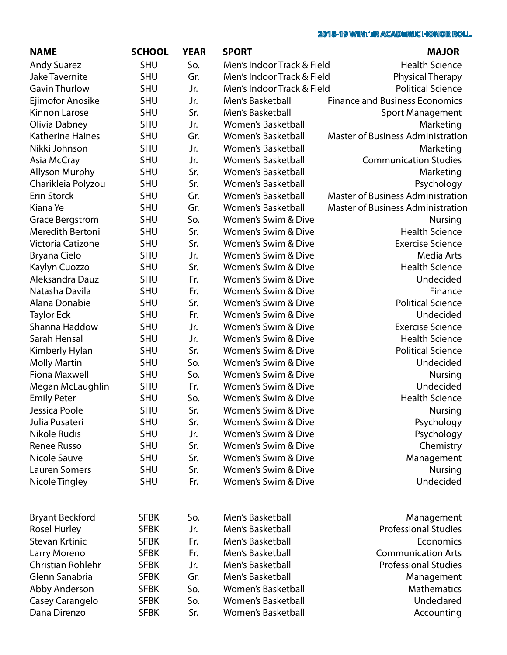| <b>NAME</b>             | <b>SCHOOL</b> | <b>YEAR</b> | <b>SPORT</b>               | <b>MAJOR</b>                             |
|-------------------------|---------------|-------------|----------------------------|------------------------------------------|
| <b>Andy Suarez</b>      | SHU           | So.         | Men's Indoor Track & Field | <b>Health Science</b>                    |
| <b>Jake Tavernite</b>   | SHU           | Gr.         | Men's Indoor Track & Field | <b>Physical Therapy</b>                  |
| <b>Gavin Thurlow</b>    | SHU           | Jr.         | Men's Indoor Track & Field | <b>Political Science</b>                 |
| Ejimofor Anosike        | SHU           | Jr.         | Men's Basketball           | <b>Finance and Business Economics</b>    |
| Kinnon Larose           | <b>SHU</b>    | Sr.         | Men's Basketball           | <b>Sport Management</b>                  |
| Olivia Dabney           | SHU           | Jr.         | <b>Women's Basketball</b>  | Marketing                                |
| <b>Katherine Haines</b> | SHU           | Gr.         | Women's Basketball         | <b>Master of Business Administration</b> |
| Nikki Johnson           | SHU           | Jr.         | <b>Women's Basketball</b>  | Marketing                                |
| Asia McCray             | SHU           | Jr.         | Women's Basketball         | <b>Communication Studies</b>             |
| <b>Allyson Murphy</b>   | SHU           | Sr.         | <b>Women's Basketball</b>  | Marketing                                |
| Charikleia Polyzou      | SHU           | Sr.         | Women's Basketball         | Psychology                               |
| Erin Storck             | SHU           | Gr.         | Women's Basketball         | <b>Master of Business Administration</b> |
| Kiana Ye                | <b>SHU</b>    | Gr.         | <b>Women's Basketball</b>  | <b>Master of Business Administration</b> |
| <b>Grace Bergstrom</b>  | <b>SHU</b>    | So.         | Women's Swim & Dive        | Nursing                                  |
| Meredith Bertoni        | <b>SHU</b>    | Sr.         | Women's Swim & Dive        | <b>Health Science</b>                    |
| Victoria Catizone       | <b>SHU</b>    | Sr.         | Women's Swim & Dive        | <b>Exercise Science</b>                  |
| Bryana Cielo            | SHU           | Jr.         | Women's Swim & Dive        | <b>Media Arts</b>                        |
| Kaylyn Cuozzo           | <b>SHU</b>    | Sr.         | Women's Swim & Dive        | <b>Health Science</b>                    |
| Aleksandra Dauz         | <b>SHU</b>    | Fr.         | Women's Swim & Dive        | Undecided                                |
| Natasha Davila          | <b>SHU</b>    | Fr.         | Women's Swim & Dive        | Finance                                  |
| Alana Donabie           | <b>SHU</b>    | Sr.         | Women's Swim & Dive        | <b>Political Science</b>                 |
| <b>Taylor Eck</b>       | <b>SHU</b>    | Fr.         | Women's Swim & Dive        | Undecided                                |
| Shanna Haddow           | <b>SHU</b>    | Jr.         | Women's Swim & Dive        | <b>Exercise Science</b>                  |
| Sarah Hensal            | SHU           | Jr.         | Women's Swim & Dive        | <b>Health Science</b>                    |
| Kimberly Hylan          | <b>SHU</b>    | Sr.         | Women's Swim & Dive        | <b>Political Science</b>                 |
| <b>Molly Martin</b>     | <b>SHU</b>    | So.         | Women's Swim & Dive        | Undecided                                |
| <b>Fiona Maxwell</b>    | <b>SHU</b>    | So.         | Women's Swim & Dive        | <b>Nursing</b>                           |
| Megan McLaughlin        | <b>SHU</b>    | Fr.         | Women's Swim & Dive        | Undecided                                |
| <b>Emily Peter</b>      | <b>SHU</b>    | So.         | Women's Swim & Dive        | <b>Health Science</b>                    |
| Jessica Poole           | <b>SHU</b>    | Sr.         | Women's Swim & Dive        | <b>Nursing</b>                           |
| Julia Pusateri          | <b>SHU</b>    | Sr.         | Women's Swim & Dive        | Psychology                               |
| <b>Nikole Rudis</b>     | SHU           | Jr.         | Women's Swim & Dive        | Psychology                               |
| <b>Renee Russo</b>      | <b>SHU</b>    | Sr.         | Women's Swim & Dive        | Chemistry                                |
| <b>Nicole Sauve</b>     | <b>SHU</b>    | Sr.         | Women's Swim & Dive        | Management                               |
| <b>Lauren Somers</b>    | <b>SHU</b>    | Sr.         | Women's Swim & Dive        | <b>Nursing</b>                           |
| Nicole Tingley          | <b>SHU</b>    | Fr.         | Women's Swim & Dive        | Undecided                                |
|                         |               |             |                            |                                          |
| <b>Bryant Beckford</b>  | <b>SFBK</b>   | So.         | Men's Basketball           | Management                               |
| <b>Rosel Hurley</b>     | <b>SFBK</b>   | Jr.         | Men's Basketball           | <b>Professional Studies</b>              |
| <b>Stevan Krtinic</b>   | <b>SFBK</b>   | Fr.         | Men's Basketball           | Economics                                |
| Larry Moreno            | <b>SFBK</b>   | Fr.         | Men's Basketball           | <b>Communication Arts</b>                |
| Christian Rohlehr       | <b>SFBK</b>   | Jr.         | Men's Basketball           | <b>Professional Studies</b>              |
| Glenn Sanabria          | <b>SFBK</b>   | Gr.         | Men's Basketball           | Management                               |
| Abby Anderson           | <b>SFBK</b>   | So.         | <b>Women's Basketball</b>  | Mathematics                              |
| Casey Carangelo         | <b>SFBK</b>   | So.         | Women's Basketball         | Undeclared                               |
| Dana Direnzo            | <b>SFBK</b>   | Sr.         | Women's Basketball         | Accounting                               |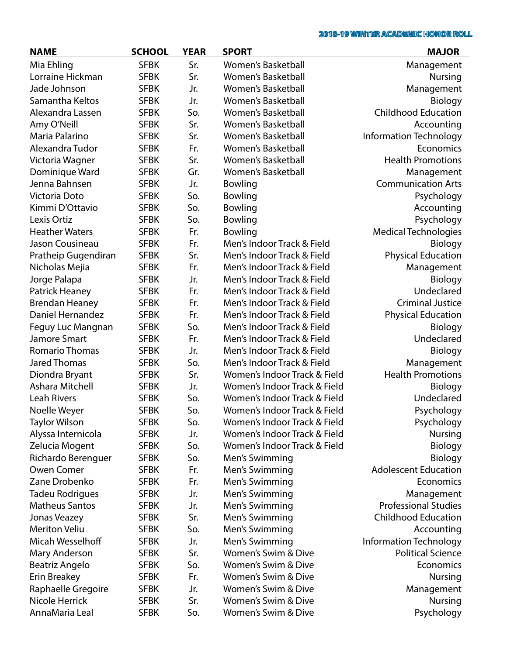| <b>NAME</b>           | <b>SCHOOL</b> | <b>YEAR</b> | <b>SPORT</b>                 | <b>MAJOR</b>                  |
|-----------------------|---------------|-------------|------------------------------|-------------------------------|
| Mia Ehling            | <b>SFBK</b>   | Sr.         | <b>Women's Basketball</b>    | Management                    |
| Lorraine Hickman      | <b>SFBK</b>   | Sr.         | <b>Women's Basketball</b>    | <b>Nursing</b>                |
| Jade Johnson          | <b>SFBK</b>   | Jr.         | <b>Women's Basketball</b>    | Management                    |
| Samantha Keltos       | <b>SFBK</b>   | Jr.         | <b>Women's Basketball</b>    | Biology                       |
| Alexandra Lassen      | <b>SFBK</b>   | So.         | <b>Women's Basketball</b>    | <b>Childhood Education</b>    |
| Amy O'Neill           | <b>SFBK</b>   | Sr.         | Women's Basketball           | Accounting                    |
| Maria Palarino        | <b>SFBK</b>   | Sr.         | <b>Women's Basketball</b>    | Information Technology        |
| Alexandra Tudor       | <b>SFBK</b>   | Fr.         | <b>Women's Basketball</b>    | Economics                     |
| Victoria Wagner       | <b>SFBK</b>   | Sr.         | <b>Women's Basketball</b>    | <b>Health Promotions</b>      |
| Dominique Ward        | <b>SFBK</b>   | Gr.         | <b>Women's Basketball</b>    | Management                    |
| Jenna Bahnsen         | <b>SFBK</b>   | Jr.         | Bowling                      | <b>Communication Arts</b>     |
| Victoria Doto         | <b>SFBK</b>   | So.         | Bowling                      | Psychology                    |
| Kimmi D'Ottavio       | <b>SFBK</b>   | So.         | Bowling                      | Accounting                    |
| Lexis Ortiz           | <b>SFBK</b>   | So.         | Bowling                      | Psychology                    |
| <b>Heather Waters</b> | <b>SFBK</b>   | Fr.         | Bowling                      | <b>Medical Technologies</b>   |
| Jason Cousineau       | <b>SFBK</b>   | Fr.         | Men's Indoor Track & Field   | Biology                       |
| Pratheip Gugendiran   | <b>SFBK</b>   | Sr.         | Men's Indoor Track & Field   | <b>Physical Education</b>     |
| Nicholas Mejia        | <b>SFBK</b>   | Fr.         | Men's Indoor Track & Field   | Management                    |
| Jorge Palapa          | <b>SFBK</b>   | Jr.         | Men's Indoor Track & Field   | Biology                       |
| Patrick Heaney        | <b>SFBK</b>   | Fr.         | Men's Indoor Track & Field   | Undeclared                    |
| <b>Brendan Heaney</b> | <b>SFBK</b>   | Fr.         | Men's Indoor Track & Field   | <b>Criminal Justice</b>       |
| Daniel Hernandez      | <b>SFBK</b>   | Fr.         | Men's Indoor Track & Field   | <b>Physical Education</b>     |
| Feguy Luc Mangnan     | <b>SFBK</b>   | So.         | Men's Indoor Track & Field   | Biology                       |
| Jamore Smart          | <b>SFBK</b>   | Fr.         | Men's Indoor Track & Field   | Undeclared                    |
| <b>Romario Thomas</b> | <b>SFBK</b>   | Jr.         | Men's Indoor Track & Field   | Biology                       |
| <b>Jared Thomas</b>   | <b>SFBK</b>   | So.         | Men's Indoor Track & Field   | Management                    |
| Diondra Bryant        | <b>SFBK</b>   | Sr.         | Women's Indoor Track & Field | <b>Health Promotions</b>      |
| Ashara Mitchell       | <b>SFBK</b>   | Jr.         | Women's Indoor Track & Field | Biology                       |
| <b>Leah Rivers</b>    | <b>SFBK</b>   | So.         | Women's Indoor Track & Field | Undeclared                    |
| Noelle Weyer          | <b>SFBK</b>   | So.         | Women's Indoor Track & Field | Psychology                    |
| Taylor Wilson         | <b>SFBK</b>   | So.         | Women's Indoor Track & Field | Psychology                    |
| Alyssa Internicola    | <b>SFBK</b>   | Jr.         | Women's Indoor Track & Field | <b>Nursing</b>                |
| Zelucia Mogent        | <b>SFBK</b>   | So.         | Women's Indoor Track & Field | Biology                       |
| Richardo Berenguer    | <b>SFBK</b>   | So.         | Men's Swimming               | Biology                       |
| Owen Comer            | <b>SFBK</b>   | Fr.         | Men's Swimming               | <b>Adolescent Education</b>   |
| Zane Drobenko         | <b>SFBK</b>   | Fr.         | Men's Swimming               | Economics                     |
| Tadeu Rodrigues       | <b>SFBK</b>   | Jr.         | Men's Swimming               | Management                    |
| <b>Matheus Santos</b> | <b>SFBK</b>   | Jr.         | Men's Swimming               | <b>Professional Studies</b>   |
| <b>Jonas Veazey</b>   | <b>SFBK</b>   | Sr.         | Men's Swimming               | <b>Childhood Education</b>    |
| <b>Meriton Veliu</b>  | <b>SFBK</b>   | So.         | Men's Swimming               | Accounting                    |
| Micah Wesselhoff      | <b>SFBK</b>   | Jr.         | Men's Swimming               | <b>Information Technology</b> |
| Mary Anderson         | <b>SFBK</b>   | Sr.         | Women's Swim & Dive          | <b>Political Science</b>      |
| Beatriz Angelo        | <b>SFBK</b>   | So.         | Women's Swim & Dive          | Economics                     |
| <b>Erin Breakey</b>   | <b>SFBK</b>   | Fr.         | Women's Swim & Dive          | <b>Nursing</b>                |
| Raphaelle Gregoire    | <b>SFBK</b>   | Jr.         | Women's Swim & Dive          | Management                    |
| Nicole Herrick        | <b>SFBK</b>   | Sr.         | Women's Swim & Dive          | <b>Nursing</b>                |
| AnnaMaria Leal        | <b>SFBK</b>   | So.         | Women's Swim & Dive          | Psychology                    |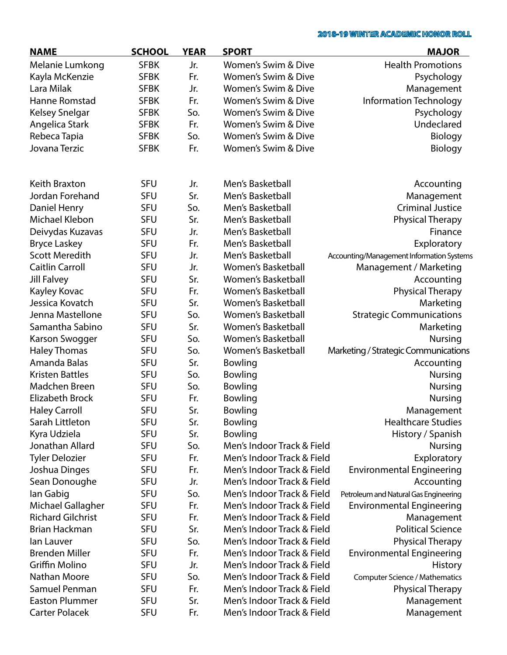| <b>NAME</b>              | <b>SCHOOL</b> | <b>YEAR</b> | <b>SPORT</b>                   | <b>MAJOR</b>                              |
|--------------------------|---------------|-------------|--------------------------------|-------------------------------------------|
| Melanie Lumkong          | <b>SFBK</b>   | Jr.         | Women's Swim & Dive            | <b>Health Promotions</b>                  |
| Kayla McKenzie           | <b>SFBK</b>   | Fr.         | Women's Swim & Dive            | Psychology                                |
| Lara Milak               | <b>SFBK</b>   | Jr.         | <b>Women's Swim &amp; Dive</b> | Management                                |
| <b>Hanne Romstad</b>     | <b>SFBK</b>   | Fr.         | <b>Women's Swim &amp; Dive</b> | Information Technology                    |
| <b>Kelsey Snelgar</b>    | <b>SFBK</b>   | So.         | <b>Women's Swim &amp; Dive</b> | Psychology                                |
| Angelica Stark           | <b>SFBK</b>   | Fr.         | <b>Women's Swim &amp; Dive</b> | Undeclared                                |
| Rebeca Tapia             | <b>SFBK</b>   | So.         | Women's Swim & Dive            | Biology                                   |
| Jovana Terzic            | <b>SFBK</b>   | Fr.         | Women's Swim & Dive            | Biology                                   |
| Keith Braxton            | <b>SFU</b>    | Jr.         | Men's Basketball               | Accounting                                |
| Jordan Forehand          | <b>SFU</b>    | Sr.         | Men's Basketball               | Management                                |
| Daniel Henry             | <b>SFU</b>    | So.         | Men's Basketball               | <b>Criminal Justice</b>                   |
| Michael Klebon           | <b>SFU</b>    | Sr.         | Men's Basketball               | <b>Physical Therapy</b>                   |
| Deivydas Kuzavas         | <b>SFU</b>    | Jr.         | Men's Basketball               | Finance                                   |
| <b>Bryce Laskey</b>      | <b>SFU</b>    | Fr.         | Men's Basketball               | Exploratory                               |
| <b>Scott Meredith</b>    | <b>SFU</b>    | Jr.         | Men's Basketball               | Accounting/Management Information Systems |
| <b>Caitlin Carroll</b>   | <b>SFU</b>    | Jr.         | <b>Women's Basketball</b>      | Management / Marketing                    |
| Jill Falvey              | <b>SFU</b>    | Sr.         | <b>Women's Basketball</b>      | Accounting                                |
| Kayley Kovac             | <b>SFU</b>    | Fr.         | Women's Basketball             | <b>Physical Therapy</b>                   |
| Jessica Kovatch          | <b>SFU</b>    | Sr.         | <b>Women's Basketball</b>      | Marketing                                 |
| Jenna Mastellone         | <b>SFU</b>    | So.         | <b>Women's Basketball</b>      | <b>Strategic Communications</b>           |
| Samantha Sabino          | <b>SFU</b>    | Sr.         | Women's Basketball             | Marketing                                 |
| Karson Swogger           | <b>SFU</b>    | So.         | Women's Basketball             | <b>Nursing</b>                            |
| <b>Haley Thomas</b>      | <b>SFU</b>    | So.         | Women's Basketball             | Marketing / Strategic Communications      |
| Amanda Balas             | <b>SFU</b>    | Sr.         | Bowling                        | Accounting                                |
| <b>Kristen Battles</b>   | <b>SFU</b>    | So.         | Bowling                        | <b>Nursing</b>                            |
| Madchen Breen            | <b>SFU</b>    | So.         | Bowling                        | <b>Nursing</b>                            |
| <b>Elizabeth Brock</b>   | <b>SFU</b>    | Fr.         | Bowling                        | Nursing                                   |
| <b>Haley Carroll</b>     | <b>SFU</b>    | Sr.         | Bowling                        | Management                                |
| Sarah Littleton          | <b>SFU</b>    | Sr.         | Bowling                        | <b>Healthcare Studies</b>                 |
| Kyra Udziela             | <b>SFU</b>    | Sr.         | <b>Bowling</b>                 | History / Spanish                         |
| Jonathan Allard          | <b>SFU</b>    | So.         | Men's Indoor Track & Field     | <b>Nursing</b>                            |
| <b>Tyler Delozier</b>    | <b>SFU</b>    | Fr.         | Men's Indoor Track & Field     | Exploratory                               |
| Joshua Dinges            | <b>SFU</b>    | Fr.         | Men's Indoor Track & Field     | <b>Environmental Engineering</b>          |
| Sean Donoughe            | <b>SFU</b>    | Jr.         | Men's Indoor Track & Field     | Accounting                                |
| lan Gabig                | <b>SFU</b>    | So.         | Men's Indoor Track & Field     | Petroleum and Natural Gas Engineering     |
| Michael Gallagher        | <b>SFU</b>    | Fr.         | Men's Indoor Track & Field     | <b>Environmental Engineering</b>          |
| <b>Richard Gilchrist</b> | <b>SFU</b>    | Fr.         | Men's Indoor Track & Field     | Management                                |
| <b>Brian Hackman</b>     | <b>SFU</b>    | Sr.         | Men's Indoor Track & Field     | <b>Political Science</b>                  |
| lan Lauver               | <b>SFU</b>    | So.         | Men's Indoor Track & Field     | <b>Physical Therapy</b>                   |
| <b>Brenden Miller</b>    | <b>SFU</b>    | Fr.         | Men's Indoor Track & Field     | <b>Environmental Engineering</b>          |
| Griffin Molino           | <b>SFU</b>    | Jr.         | Men's Indoor Track & Field     |                                           |
| Nathan Moore             | <b>SFU</b>    | So.         | Men's Indoor Track & Field     | <b>History</b>                            |
| Samuel Penman            | <b>SFU</b>    | Fr.         | Men's Indoor Track & Field     | Computer Science / Mathematics            |
| <b>Easton Plummer</b>    | <b>SFU</b>    | Sr.         | Men's Indoor Track & Field     | <b>Physical Therapy</b>                   |
| <b>Carter Polacek</b>    |               | Fr.         |                                | Management                                |
|                          | <b>SFU</b>    |             | Men's Indoor Track & Field     | Management                                |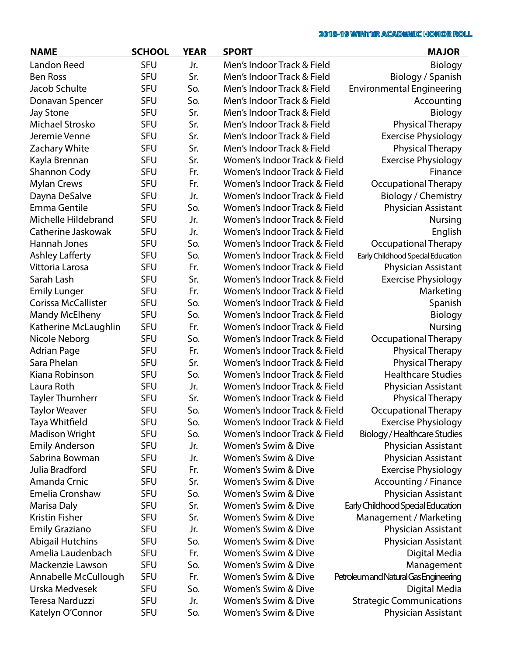| <b>NAME</b>             | <b>SCHOOL</b> | <b>YEAR</b> | <b>SPORT</b>                 | <b>MAJOR</b>                          |
|-------------------------|---------------|-------------|------------------------------|---------------------------------------|
| <b>Landon Reed</b>      | <b>SFU</b>    | Jr.         | Men's Indoor Track & Field   | Biology                               |
| <b>Ben Ross</b>         | <b>SFU</b>    | Sr.         | Men's Indoor Track & Field   | Biology / Spanish                     |
| Jacob Schulte           | <b>SFU</b>    | So.         | Men's Indoor Track & Field   | <b>Environmental Engineering</b>      |
| Donavan Spencer         | <b>SFU</b>    | So.         | Men's Indoor Track & Field   | Accounting                            |
| <b>Jay Stone</b>        | <b>SFU</b>    | Sr.         | Men's Indoor Track & Field   | Biology                               |
| Michael Strosko         | <b>SFU</b>    | Sr.         | Men's Indoor Track & Field   | <b>Physical Therapy</b>               |
| Jeremie Venne           | <b>SFU</b>    | Sr.         | Men's Indoor Track & Field   | <b>Exercise Physiology</b>            |
| Zachary White           | <b>SFU</b>    | Sr.         | Men's Indoor Track & Field   | <b>Physical Therapy</b>               |
| Kayla Brennan           | <b>SFU</b>    | Sr.         | Women's Indoor Track & Field | <b>Exercise Physiology</b>            |
| Shannon Cody            | <b>SFU</b>    | Fr.         | Women's Indoor Track & Field | Finance                               |
| <b>Mylan Crews</b>      | <b>SFU</b>    | Fr.         | Women's Indoor Track & Field | <b>Occupational Therapy</b>           |
| Dayna DeSalve           | <b>SFU</b>    | Jr.         | Women's Indoor Track & Field | <b>Biology / Chemistry</b>            |
| Emma Gentile            | <b>SFU</b>    | So.         | Women's Indoor Track & Field | Physician Assistant                   |
| Michelle Hildebrand     | <b>SFU</b>    | Jr.         | Women's Indoor Track & Field | <b>Nursing</b>                        |
| Catherine Jaskowak      | <b>SFU</b>    | Jr.         | Women's Indoor Track & Field | English                               |
| Hannah Jones            | <b>SFU</b>    | So.         | Women's Indoor Track & Field | Occupational Therapy                  |
| <b>Ashley Lafferty</b>  | <b>SFU</b>    | So.         | Women's Indoor Track & Field | Early Childhood Special Education     |
| Vittoria Larosa         | <b>SFU</b>    | Fr.         | Women's Indoor Track & Field | <b>Physician Assistant</b>            |
| Sarah Lash              | <b>SFU</b>    | Sr.         | Women's Indoor Track & Field | <b>Exercise Physiology</b>            |
| <b>Emily Lunger</b>     | <b>SFU</b>    | Fr.         | Women's Indoor Track & Field | Marketing                             |
| Corissa McCallister     | <b>SFU</b>    | So.         | Women's Indoor Track & Field | Spanish                               |
| <b>Mandy McElheny</b>   | <b>SFU</b>    | So.         | Women's Indoor Track & Field | Biology                               |
| Katherine McLaughlin    | <b>SFU</b>    | Fr.         | Women's Indoor Track & Field | <b>Nursing</b>                        |
| Nicole Neborg           | <b>SFU</b>    | So.         | Women's Indoor Track & Field | <b>Occupational Therapy</b>           |
| <b>Adrian Page</b>      | <b>SFU</b>    | Fr.         | Women's Indoor Track & Field | <b>Physical Therapy</b>               |
| Sara Phelan             | <b>SFU</b>    | Sr.         | Women's Indoor Track & Field | <b>Physical Therapy</b>               |
| Kiana Robinson          | <b>SFU</b>    | So.         | Women's Indoor Track & Field | <b>Healthcare Studies</b>             |
| Laura Roth              | <b>SFU</b>    | Jr.         | Women's Indoor Track & Field | Physician Assistant                   |
| Tayler Thurnherr        | <b>SFU</b>    | Sr.         | Women's Indoor Track & Field | <b>Physical Therapy</b>               |
| <b>Taylor Weaver</b>    | <b>SFU</b>    | So.         | Women's Indoor Track & Field | Occupational Therapy                  |
| Taya Whitfield          | <b>SFU</b>    | So.         | Women's Indoor Track & Field | <b>Exercise Physiology</b>            |
| <b>Madison Wright</b>   | <b>SFU</b>    | So.         | Women's Indoor Track & Field | <b>Biology / Healthcare Studies</b>   |
| <b>Emily Anderson</b>   | <b>SFU</b>    | Jr.         | Women's Swim & Dive          | Physician Assistant                   |
| Sabrina Bowman          | <b>SFU</b>    | Jr.         | Women's Swim & Dive          | Physician Assistant                   |
| Julia Bradford          | <b>SFU</b>    | Fr.         | Women's Swim & Dive          | <b>Exercise Physiology</b>            |
| Amanda Crnic            | <b>SFU</b>    | Sr.         | Women's Swim & Dive          | Accounting / Finance                  |
| Emelia Cronshaw         | <b>SFU</b>    | So.         | Women's Swim & Dive          | Physician Assistant                   |
| Marisa Daly             | <b>SFU</b>    | Sr.         | Women's Swim & Dive          | Early Childhood Special Education     |
| Kristin Fisher          | <b>SFU</b>    | Sr.         | Women's Swim & Dive          | Management / Marketing                |
| <b>Emily Graziano</b>   | <b>SFU</b>    | Jr.         | Women's Swim & Dive          | Physician Assistant                   |
| <b>Abigail Hutchins</b> | <b>SFU</b>    | So.         | Women's Swim & Dive          | Physician Assistant                   |
| Amelia Laudenbach       | <b>SFU</b>    | Fr.         | Women's Swim & Dive          | Digital Media                         |
| Mackenzie Lawson        | <b>SFU</b>    | So.         | Women's Swim & Dive          | Management                            |
| Annabelle McCullough    | <b>SFU</b>    | Fr.         | Women's Swim & Dive          | Petroleum and Natural Gas Engineering |
| Urska Medvesek          | <b>SFU</b>    | So.         | Women's Swim & Dive          | Digital Media                         |
| Teresa Narduzzi         | <b>SFU</b>    | Jr.         | Women's Swim & Dive          | <b>Strategic Communications</b>       |
| Katelyn O'Connor        | <b>SFU</b>    | So.         | Women's Swim & Dive          | Physician Assistant                   |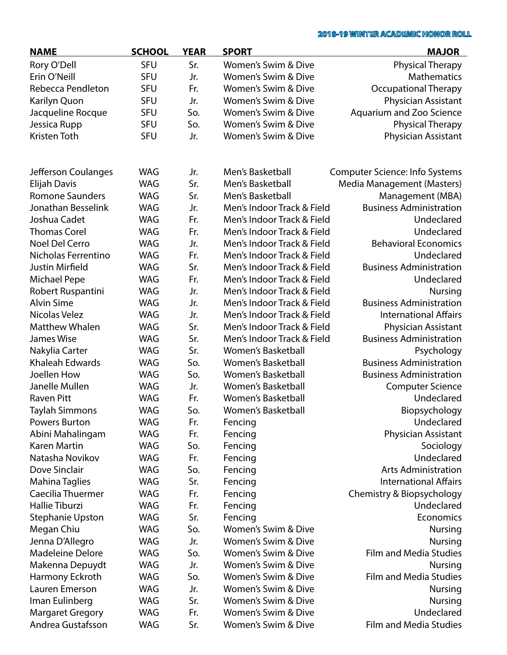| <b>NAME</b>             | <b>SCHOOL</b> | <b>YEAR</b> | <b>SPORT</b>               | <b>MAJOR</b>                    |
|-------------------------|---------------|-------------|----------------------------|---------------------------------|
| Rory O'Dell             | <b>SFU</b>    | Sr.         | Women's Swim & Dive        | <b>Physical Therapy</b>         |
| Erin O'Neill            | <b>SFU</b>    | Jr.         | Women's Swim & Dive        | <b>Mathematics</b>              |
| Rebecca Pendleton       | <b>SFU</b>    | Fr.         | Women's Swim & Dive        | <b>Occupational Therapy</b>     |
| Karilyn Quon            | <b>SFU</b>    | Jr.         | Women's Swim & Dive        | Physician Assistant             |
| Jacqueline Rocque       | <b>SFU</b>    | So.         | Women's Swim & Dive        | <b>Aquarium and Zoo Science</b> |
| Jessica Rupp            | <b>SFU</b>    | So.         | Women's Swim & Dive        | <b>Physical Therapy</b>         |
| Kristen Toth            | <b>SFU</b>    | Jr.         | Women's Swim & Dive        | Physician Assistant             |
|                         |               |             |                            |                                 |
| Jefferson Coulanges     | <b>WAG</b>    | Jr.         | Men's Basketball           | Computer Science: Info Systems  |
| <b>Elijah Davis</b>     | <b>WAG</b>    | Sr.         | Men's Basketball           | Media Management (Masters)      |
| <b>Romone Saunders</b>  | <b>WAG</b>    | Sr.         | Men's Basketball           | Management (MBA)                |
| Jonathan Besselink      | <b>WAG</b>    | Jr.         | Men's Indoor Track & Field | <b>Business Administration</b>  |
| Joshua Cadet            | <b>WAG</b>    | Fr.         | Men's Indoor Track & Field | Undeclared                      |
| <b>Thomas Corel</b>     | <b>WAG</b>    |             | Men's Indoor Track & Field | Undeclared                      |
| <b>Noel Del Cerro</b>   | <b>WAG</b>    | Fr.         | Men's Indoor Track & Field | <b>Behavioral Economics</b>     |
|                         |               | Jr.         |                            |                                 |
| Nicholas Ferrentino     | <b>WAG</b>    | Fr.         | Men's Indoor Track & Field | Undeclared                      |
| <b>Justin Mirfield</b>  | <b>WAG</b>    | Sr.         | Men's Indoor Track & Field | <b>Business Administration</b>  |
| <b>Michael Pepe</b>     | <b>WAG</b>    | Fr.         | Men's Indoor Track & Field | Undeclared                      |
| Robert Ruspantini       | <b>WAG</b>    | Jr.         | Men's Indoor Track & Field | <b>Nursing</b>                  |
| <b>Alvin Sime</b>       | <b>WAG</b>    | Jr.         | Men's Indoor Track & Field | <b>Business Administration</b>  |
| Nicolas Velez           | <b>WAG</b>    | Jr.         | Men's Indoor Track & Field | <b>International Affairs</b>    |
| <b>Matthew Whalen</b>   | <b>WAG</b>    | Sr.         | Men's Indoor Track & Field | Physician Assistant             |
| James Wise              | <b>WAG</b>    | Sr.         | Men's Indoor Track & Field | <b>Business Administration</b>  |
| Nakylia Carter          | <b>WAG</b>    | Sr.         | <b>Women's Basketball</b>  | Psychology                      |
| <b>Khaleah Edwards</b>  | <b>WAG</b>    | So.         | <b>Women's Basketball</b>  | <b>Business Administration</b>  |
| Joellen How             | <b>WAG</b>    | So.         | Women's Basketball         | <b>Business Administration</b>  |
| Janelle Mullen          | <b>WAG</b>    | Jr.         | <b>Women's Basketball</b>  | <b>Computer Science</b>         |
| <b>Raven Pitt</b>       | <b>WAG</b>    | Fr.         | <b>Women's Basketball</b>  | Undeclared                      |
| <b>Taylah Simmons</b>   | <b>WAG</b>    | So.         | <b>Women's Basketball</b>  | Biopsychology                   |
| <b>Powers Burton</b>    | <b>WAG</b>    | Fr.         | Fencing                    | Undeclared                      |
| Abini Mahalingam        | <b>WAG</b>    | Fr.         | Fencing                    | Physician Assistant             |
| Karen Martin            | <b>WAG</b>    | So.         | Fencing                    | Sociology                       |
| Natasha Novikov         | <b>WAG</b>    | Fr.         | Fencing                    | Undeclared                      |
| Dove Sinclair           | <b>WAG</b>    | So.         | Fencing                    | <b>Arts Administration</b>      |
| <b>Mahina Taglies</b>   | <b>WAG</b>    | Sr.         | Fencing                    | <b>International Affairs</b>    |
| Caecilia Thuermer       | <b>WAG</b>    | Fr.         | Fencing                    | Chemistry & Biopsychology       |
| <b>Hallie Tiburzi</b>   | <b>WAG</b>    | Fr.         | Fencing                    | Undeclared                      |
| <b>Stephanie Upston</b> | <b>WAG</b>    | Sr.         | Fencing                    | Economics                       |
| Megan Chiu              | <b>WAG</b>    | So.         | Women's Swim & Dive        | <b>Nursing</b>                  |
| Jenna D'Allegro         | <b>WAG</b>    | Jr.         | Women's Swim & Dive        | <b>Nursing</b>                  |
| Madeleine Delore        | <b>WAG</b>    | So.         | Women's Swim & Dive        | <b>Film and Media Studies</b>   |
| Makenna Depuydt         | WAG           | Jr.         | Women's Swim & Dive        | Nursing                         |
| Harmony Eckroth         | WAG           | So.         | Women's Swim & Dive        | <b>Film and Media Studies</b>   |
| Lauren Emerson          | <b>WAG</b>    | Jr.         | Women's Swim & Dive        | <b>Nursing</b>                  |
| Iman Eulinberg          | <b>WAG</b>    | Sr.         | Women's Swim & Dive        | <b>Nursing</b>                  |
| <b>Margaret Gregory</b> | <b>WAG</b>    | Fr.         | Women's Swim & Dive        | Undeclared                      |
| Andrea Gustafsson       | <b>WAG</b>    | Sr.         | Women's Swim & Dive        | <b>Film and Media Studies</b>   |